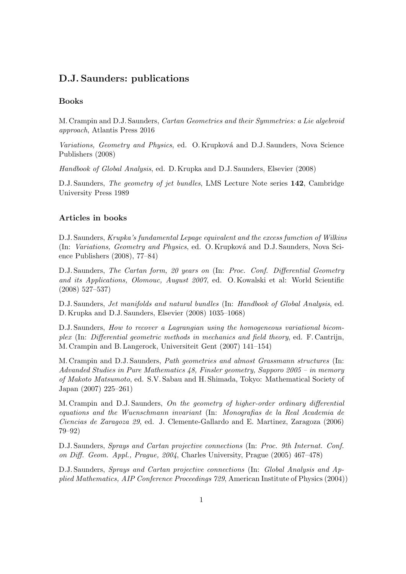## D.J. Saunders: publications

## Books

M. Crampin and D.J. Saunders, Cartan Geometries and their Symmetries: a Lie algebroid approach, Atlantis Press 2016

Variations, Geometry and Physics, ed. O. Krupková and D.J. Saunders, Nova Science Publishers (2008)

Handbook of Global Analysis, ed. D. Krupka and D.J. Saunders, Elsevier (2008)

D.J. Saunders, The geometry of jet bundles, LMS Lecture Note series 142, Cambridge University Press 1989

## Articles in books

D.J. Saunders, Krupka's fundamental Lepage equivalent and the excess fumction of Wilkins (In: Variations, Geometry and Physics, ed. O. Krupková and D.J. Saunders, Nova Science Publishers (2008), 77–84)

D.J. Saunders, The Cartan form, 20 years on (In: Proc. Conf. Differential Geometry and its Applications, Olomouc, August 2007, ed. O. Kowalski et al: World Scientific (2008) 527–537)

D.J. Saunders, Jet manifolds and natural bundles (In: Handbook of Global Analysis, ed. D. Krupka and D.J. Saunders, Elsevier (2008) 1035–1068)

D.J. Saunders, How to recover a Lagrangian using the homogeneous variational bicomplex (In: Differential geometric methods in mechanics and field theory, ed. F. Cantrijn, M. Crampin and B. Langerock, Universiteit Gent (2007) 141–154)

M. Crampin and D.J. Saunders, Path geometries and almost Grassmann structures (In: Advanded Studies in Pure Mathematics 48, Finsler geometry, Sapporo 2005 – in memory of Makoto Matsumoto, ed. S.V. Sabau and H. Shimada, Tokyo: Mathematical Society of Japan (2007) 225–261)

M. Crampin and D.J. Saunders, On the geometry of higher-order ordinary differential equations and the Wuenschmann invariant (In: Monografias de la Real Academia de Ciencias de Zaragoza 29, ed. J. Clemente-Gallardo and E. Martinez, Zaragoza (2006) 79–92)

D.J. Saunders, Sprays and Cartan projective connections (In: Proc. 9th Internat. Conf. on Diff. Geom. Appl., Prague, 2004, Charles University, Prague (2005) 467–478)

D.J. Saunders, Sprays and Cartan projective connections (In: Global Analysis and Applied Mathematics, AIP Conference Proceedings 729, American Institute of Physics (2004))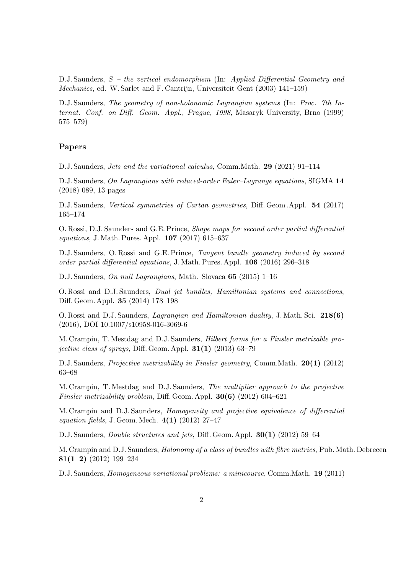D.J. Saunders, S – the vertical endomorphism (In: Applied Differential Geometry and Mechanics, ed. W. Sarlet and F. Cantrijn, Universiteit Gent (2003) 141–159)

D.J. Saunders, The geometry of non-holonomic Lagrangian systems (In: Proc. 7th Internat. Conf. on Diff. Geom. Appl., Prague, 1998, Masaryk University, Brno (1999) 575–579)

## Papers

D.J. Saunders, Jets and the variational calculus, Comm.Math. 29 (2021) 91–114

D.J. Saunders, On Lagrangians with reduced-order Euler–Lagrange equations, SIGMA 14 (2018) 089, 13 pages

D.J. Saunders, Vertical symmetries of Cartan geometries, Diff. Geom .Appl. 54 (2017) 165–174

O. Rossi, D.J. Saunders and G.E. Prince, Shape maps for second order partial differential equations, J. Math. Pures. Appl. 107 (2017) 615–637

D.J. Saunders, O. Rossi and G.E. Prince, Tangent bundle geometry induced by second order partial differential equations, J. Math. Pures. Appl. 106 (2016) 296–318

D.J. Saunders, On null Lagrangians, Math. Slovaca 65 (2015) 1–16

O. Rossi and D.J. Saunders, Dual jet bundles, Hamiltonian systems and connections, Diff. Geom. Appl. 35 (2014) 178–198

O. Rossi and D.J. Saunders, Lagrangian and Hamiltonian duality, J. Math. Sci. 218(6) (2016), DOI 10.1007/s10958-016-3069-6

M. Crampin, T. Mestdag and D.J. Saunders, Hilbert forms for a Finsler metrizable projective class of sprays, Diff. Geom. Appl.  $31(1)$  (2013) 63–79

D.J. Saunders, Projective metrizability in Finsler geometry, Comm.Math. 20(1) (2012) 63–68

M. Crampin, T. Mestdag and D.J. Saunders, The multiplier approach to the projective Finsler metrizability problem, Diff. Geom. Appl. 30(6) (2012) 604–621

M. Crampin and D.J. Saunders, Homogeneity and projective equivalence of differential equation fields, J. Geom. Mech.  $4(1)$  (2012) 27-47

D.J. Saunders, Double structures and jets, Diff. Geom. Appl. 30(1) (2012) 59–64

M. Crampin and D.J. Saunders, Holonomy of a class of bundles with fibre metrics, Pub. Math. Debrecen 81(1–2) (2012) 199–234

D.J. Saunders, Homogeneous variational problems: a minicourse, Comm.Math. 19 (2011)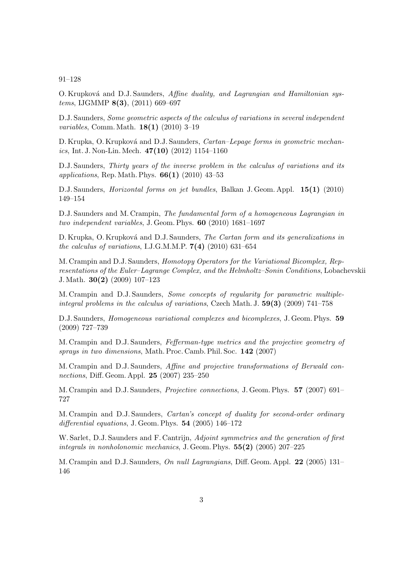91–128

O. Krupková and D.J. Saunders, Affine duality, and Lagrangian and Hamiltonian sys $tems, \text{IJGMMP } 8(3), (2011) \, 669-697$ 

D.J. Saunders, Some geometric aspects of the calculus of variations in several independent variables, Comm. Math. 18(1) (2010) 3–19

D. Krupka, O. Krupková and D.J. Saunders, Cartan–Lepage forms in geometric mechanics, Int. J. Non-Lin. Mech.  $47(10)$  (2012) 1154–1160

D.J. Saunders, Thirty years of the inverse problem in the calculus of variations and its applications, Rep. Math. Phys.  $66(1)$  (2010) 43-53

D.J. Saunders, *Horizontal forms on jet bundles*, Balkan J. Geom. Appl. **15(1)** (2010) 149–154

D.J. Saunders and M. Crampin, The fundamental form of a homogeneous Lagrangian in two independent variables, J. Geom. Phys. 60 (2010) 1681–1697

D. Krupka, O. Krupková and D.J. Saunders, The Cartan form and its generalizations in the calculus of variations, I.J.G.M.M.P.  $7(4)$  (2010) 631–654

M. Crampin and D.J. Saunders, Homotopy Operators for the Variational Bicomplex, Representations of the Euler–Lagrange Complex, and the Helmholtz–Sonin Conditions, Lobachevskii J. Math. 30(2) (2009) 107–123

M. Crampin and D.J. Saunders, Some concepts of regularity for parametric multipleintegral problems in the calculus of variations, Czech Math. J. 59(3) (2009) 741–758

D.J. Saunders, Homogeneous variational complexes and bicomplexes, J. Geom. Phys. 59 (2009) 727–739

M. Crampin and D.J. Saunders, Fefferman-type metrics and the projective geometry of sprays in two dimensions, Math. Proc. Camb. Phil. Soc. 142 (2007)

M. Crampin and D.J. Saunders, Affine and projective transformations of Berwald connections, Diff. Geom. Appl. 25 (2007) 235–250

M. Crampin and D.J. Saunders, Projective connections, J. Geom. Phys. 57 (2007) 691– 727

M. Crampin and D.J. Saunders, Cartan's concept of duality for second-order ordinary differential equations, J. Geom. Phys.  $54$  (2005) 146–172

W. Sarlet, D.J. Saunders and F. Cantrijn, Adjoint symmetries and the generation of first integrals in nonholonomic mechanics, J. Geom. Phys.  $55(2)$  (2005) 207–225

M. Crampin and D.J. Saunders, On null Lagrangians, Diff. Geom. Appl. 22 (2005) 131– 146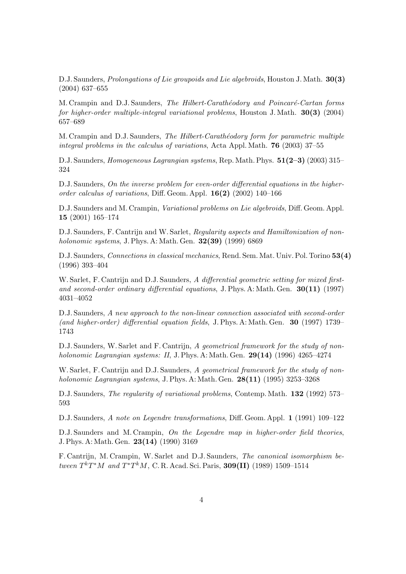D.J. Saunders, *Prolongations of Lie groupoids and Lie algebroids*, Houston J. Math. **30(3)** (2004) 637–655

M. Crampin and D.J. Saunders, The Hilbert-Carathéodory and Poincaré-Cartan forms for higher-order multiple-integral variational problems, Houston J. Math. 30(3) (2004) 657–689

M. Crampin and D.J. Saunders, The Hilbert-Carathéodory form for parametric multiple integral problems in the calculus of variations, Acta Appl. Math. 76 (2003) 37–55

D.J. Saunders, *Homogeneous Lagrangian systems*, Rep. Math. Phys. 51(2-3) (2003) 315– 324

D.J. Saunders, On the inverse problem for even-order differential equations in the higherorder calculus of variations, Diff. Geom. Appl. 16(2) (2002) 140–166

D.J. Saunders and M. Crampin, Variational problems on Lie algebroids, Diff. Geom. Appl. 15 (2001) 165–174

D.J. Saunders, F. Cantrijn and W. Sarlet, Regularity aspects and Hamiltonization of nonholonomic systems, J. Phys. A: Math. Gen. **32(39)** (1999) 6869

D.J. Saunders, Connections in classical mechanics, Rend. Sem. Mat. Univ. Pol. Torino 53(4) (1996) 393–404

W. Sarlet, F. Cantrijn and D.J. Saunders, A differential geometric setting for mixed firstand second-order ordinary differential equations, J. Phys. A: Math. Gen. 30(11) (1997) 4031–4052

D.J. Saunders, A new approach to the non-linear connection associated with second-order (and higher-order) differential equation fields, J. Phys. A: Math. Gen. 30 (1997) 1739– 1743

D.J. Saunders, W. Sarlet and F. Cantrijn, A geometrical framework for the study of nonholonomic Lagrangian systems: II, J. Phys. A: Math. Gen.  $29(14)$  (1996) 4265–4274

W. Sarlet, F. Cantrijn and D.J. Saunders, A geometrical framework for the study of nonholonomic Lagrangian systems, J. Phys. A: Math. Gen. 28(11) (1995) 3253–3268

D.J. Saunders, The regularity of variational problems, Contemp. Math. 132 (1992) 573– 593

D.J. Saunders, A note on Legendre transformations, Diff. Geom. Appl. 1 (1991) 109–122

D.J. Saunders and M. Crampin, On the Legendre map in higher-order field theories, J. Phys. A: Math. Gen. 23(14) (1990) 3169

F. Cantrijn, M. Crampin, W. Sarlet and D.J. Saunders, The canonical isomorphism between  $T^kT^*M$  and  $T^*T^kM$ , C. R. Acad. Sci. Paris, 309(II) (1989) 1509–1514